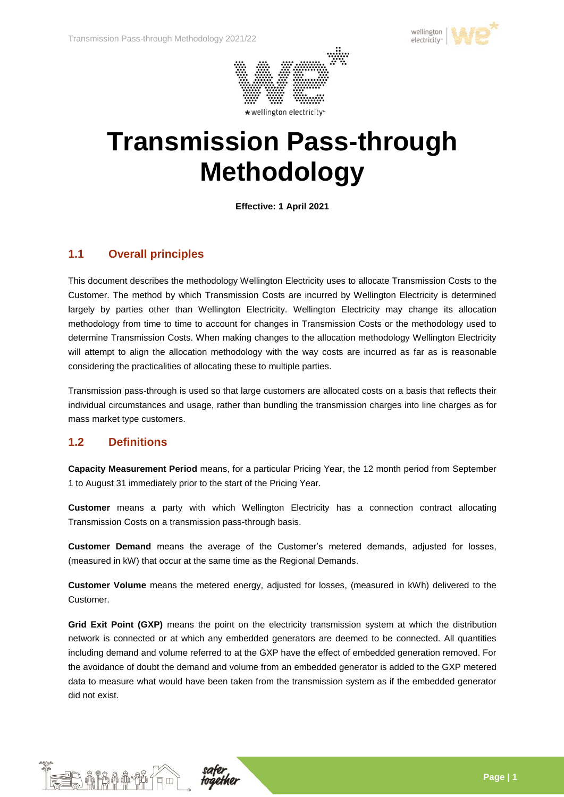



# **Transmission Pass-through Methodology**

**Effective: 1 April 2021**

## **1.1 Overall principles**

This document describes the methodology Wellington Electricity uses to allocate Transmission Costs to the Customer. The method by which Transmission Costs are incurred by Wellington Electricity is determined largely by parties other than Wellington Electricity. Wellington Electricity may change its allocation methodology from time to time to account for changes in Transmission Costs or the methodology used to determine Transmission Costs. When making changes to the allocation methodology Wellington Electricity will attempt to align the allocation methodology with the way costs are incurred as far as is reasonable considering the practicalities of allocating these to multiple parties.

Transmission pass-through is used so that large customers are allocated costs on a basis that reflects their individual circumstances and usage, rather than bundling the transmission charges into line charges as for mass market type customers.

### **1.2 Definitions**

**Capacity Measurement Period** means, for a particular Pricing Year, the 12 month period from September 1 to August 31 immediately prior to the start of the Pricing Year.

**Customer** means a party with which Wellington Electricity has a connection contract allocating Transmission Costs on a transmission pass-through basis.

**Customer Demand** means the average of the Customer's metered demands, adjusted for losses, (measured in kW) that occur at the same time as the Regional Demands.

**Customer Volume** means the metered energy, adjusted for losses, (measured in kWh) delivered to the Customer.

Grid Exit Point (GXP) means the point on the electricity transmission system at which the distribution network is connected or at which any embedded generators are deemed to be connected. All quantities including demand and volume referred to at the GXP have the effect of embedded generation removed. For the avoidance of doubt the demand and volume from an embedded generator is added to the GXP metered data to measure what would have been taken from the transmission system as if the embedded generator did not exist.



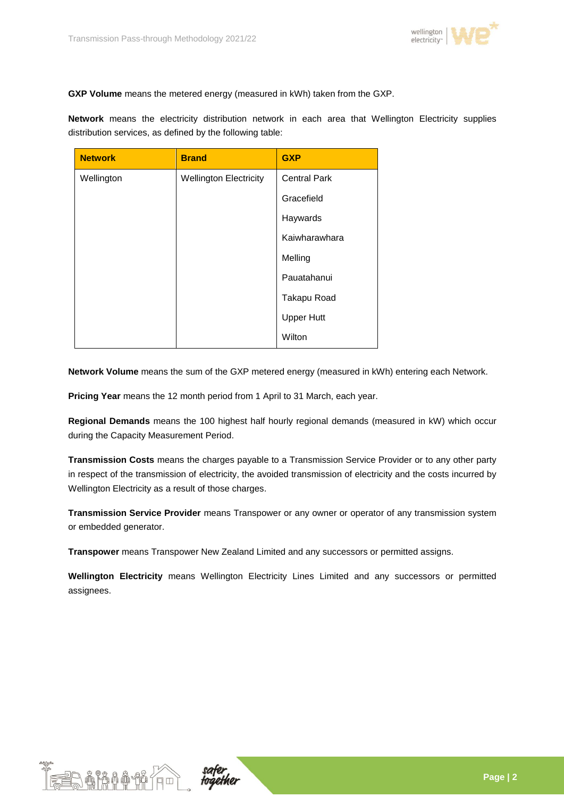

**GXP Volume** means the metered energy (measured in kWh) taken from the GXP.

**Network** means the electricity distribution network in each area that Wellington Electricity supplies distribution services, as defined by the following table:

| <b>Network</b> | <b>Brand</b>                  | <b>GXP</b>          |  |
|----------------|-------------------------------|---------------------|--|
| Wellington     | <b>Wellington Electricity</b> | <b>Central Park</b> |  |
|                |                               | Gracefield          |  |
|                |                               | Haywards            |  |
|                |                               | Kaiwharawhara       |  |
|                |                               | Melling             |  |
|                |                               | Pauatahanui         |  |
|                |                               | Takapu Road         |  |
|                |                               | <b>Upper Hutt</b>   |  |
|                |                               | Wilton              |  |

**Network Volume** means the sum of the GXP metered energy (measured in kWh) entering each Network.

**Pricing Year** means the 12 month period from 1 April to 31 March, each year.

**Regional Demands** means the 100 highest half hourly regional demands (measured in kW) which occur during the Capacity Measurement Period.

**Transmission Costs** means the charges payable to a Transmission Service Provider or to any other party in respect of the transmission of electricity, the avoided transmission of electricity and the costs incurred by Wellington Electricity as a result of those charges.

**Transmission Service Provider** means Transpower or any owner or operator of any transmission system or embedded generator.

**Transpower** means Transpower New Zealand Limited and any successors or permitted assigns.

**Wellington Electricity** means Wellington Electricity Lines Limited and any successors or permitted assignees.



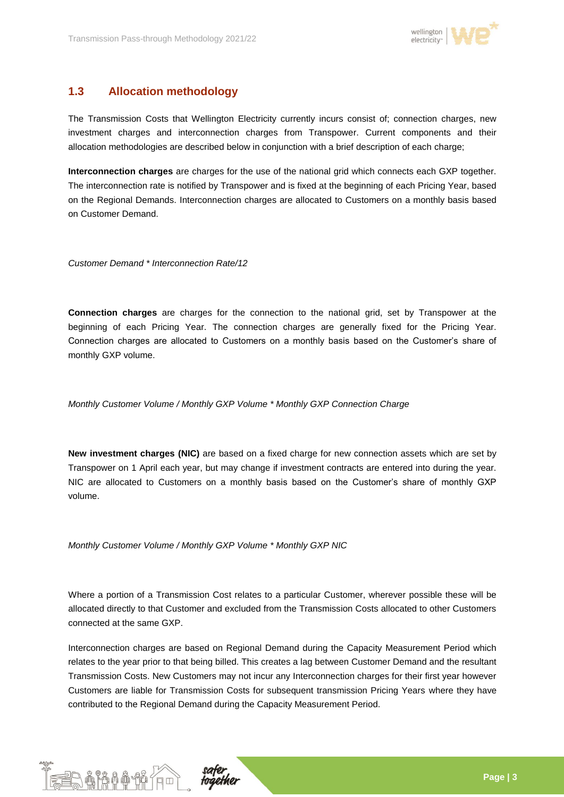

# **1.3 Allocation methodology**

The Transmission Costs that Wellington Electricity currently incurs consist of; connection charges, new investment charges and interconnection charges from Transpower. Current components and their allocation methodologies are described below in conjunction with a brief description of each charge;

**Interconnection charges** are charges for the use of the national grid which connects each GXP together. The interconnection rate is notified by Transpower and is fixed at the beginning of each Pricing Year, based on the Regional Demands. Interconnection charges are allocated to Customers on a monthly basis based on Customer Demand.

*Customer Demand \* Interconnection Rate/12*

**Connection charges** are charges for the connection to the national grid, set by Transpower at the beginning of each Pricing Year. The connection charges are generally fixed for the Pricing Year. Connection charges are allocated to Customers on a monthly basis based on the Customer's share of monthly GXP volume.

*Monthly Customer Volume / Monthly GXP Volume \* Monthly GXP Connection Charge*

**New investment charges (NIC)** are based on a fixed charge for new connection assets which are set by Transpower on 1 April each year, but may change if investment contracts are entered into during the year. NIC are allocated to Customers on a monthly basis based on the Customer's share of monthly GXP volume.

*Monthly Customer Volume / Monthly GXP Volume \* Monthly GXP NIC*

Where a portion of a Transmission Cost relates to a particular Customer, wherever possible these will be allocated directly to that Customer and excluded from the Transmission Costs allocated to other Customers connected at the same GXP.

Interconnection charges are based on Regional Demand during the Capacity Measurement Period which relates to the year prior to that being billed. This creates a lag between Customer Demand and the resultant Transmission Costs. New Customers may not incur any Interconnection charges for their first year however Customers are liable for Transmission Costs for subsequent transmission Pricing Years where they have contributed to the Regional Demand during the Capacity Measurement Period.